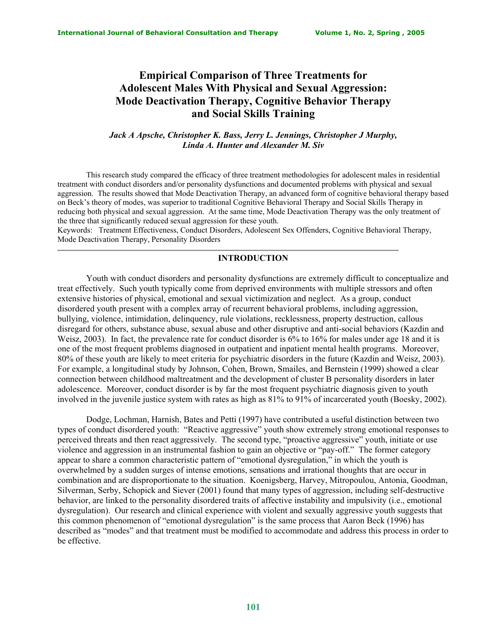# **Empirical Comparison of Three Treatments for Adolescent Males With Physical and Sexual Aggression: Mode Deactivation Therapy, Cognitive Behavior Therapy and Social Skills Training**

*Jack A Apsche, Christopher K. Bass, Jerry L. Jennings, Christopher J Murphy, Linda A. Hunter and Alexander M. Siv* 

 This research study compared the efficacy of three treatment methodologies for adolescent males in residential treatment with conduct disorders and/or personality dysfunctions and documented problems with physical and sexual aggression. The results showed that Mode Deactivation Therapy, an advanced form of cognitive behavioral therapy based on Beck's theory of modes, was superior to traditional Cognitive Behavioral Therapy and Social Skills Therapy in reducing both physical and sexual aggression. At the same time, Mode Deactivation Therapy was the only treatment of the three that significantly reduced sexual aggression for these youth.

Keywords: Treatment Effectiveness, Conduct Disorders, Adolescent Sex Offenders, Cognitive Behavioral Therapy, Mode Deactivation Therapy, Personality Disorders

#### **INTRODUCTION**

Youth with conduct disorders and personality dysfunctions are extremely difficult to conceptualize and treat effectively. Such youth typically come from deprived environments with multiple stressors and often extensive histories of physical, emotional and sexual victimization and neglect. As a group, conduct disordered youth present with a complex array of recurrent behavioral problems, including aggression, bullying, violence, intimidation, delinquency, rule violations, recklessness, property destruction, callous disregard for others, substance abuse, sexual abuse and other disruptive and anti-social behaviors (Kazdin and Weisz, 2003). In fact, the prevalence rate for conduct disorder is 6% to 16% for males under age 18 and it is one of the most frequent problems diagnosed in outpatient and inpatient mental health programs. Moreover, 80% of these youth are likely to meet criteria for psychiatric disorders in the future (Kazdin and Weisz, 2003). For example, a longitudinal study by Johnson, Cohen, Brown, Smailes, and Bernstein (1999) showed a clear connection between childhood maltreatment and the development of cluster B personality disorders in later adolescence. Moreover, conduct disorder is by far the most frequent psychiatric diagnosis given to youth involved in the juvenile justice system with rates as high as 81% to 91% of incarcerated youth (Boesky, 2002).

Dodge, Lochman, Harnish, Bates and Petti (1997) have contributed a useful distinction between two types of conduct disordered youth: "Reactive aggressive" youth show extremely strong emotional responses to perceived threats and then react aggressively. The second type, "proactive aggressive" youth, initiate or use violence and aggression in an instrumental fashion to gain an objective or "pay-off." The former category appear to share a common characteristic pattern of "emotional dysregulation," in which the youth is overwhelmed by a sudden surges of intense emotions, sensations and irrational thoughts that are occur in combination and are disproportionate to the situation. Koenigsberg, Harvey, Mitropoulou, Antonia, Goodman, Silverman, Serby, Schopick and Siever (2001) found that many types of aggression, including self-destructive behavior, are linked to the personality disordered traits of affective instability and impulsivity (i.e., emotional dysregulation). Our research and clinical experience with violent and sexually aggressive youth suggests that this common phenomenon of "emotional dysregulation" is the same process that Aaron Beck (1996) has described as "modes" and that treatment must be modified to accommodate and address this process in order to be effective.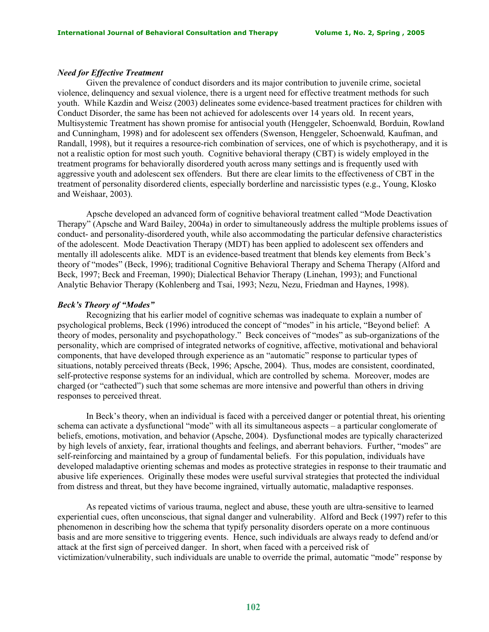#### *Need for Effective Treatment*

Given the prevalence of conduct disorders and its major contribution to juvenile crime, societal violence, delinquency and sexual violence, there is a urgent need for effective treatment methods for such youth. While Kazdin and Weisz (2003) delineates some evidence-based treatment practices for children with Conduct Disorder, the same has been not achieved for adolescents over 14 years old. In recent years, Multisystemic Treatment has shown promise for antisocial youth (Henggeler, Schoenwald*,* Borduin, Rowland and Cunningham, 1998) and for adolescent sex offenders (Swenson, Henggeler, Schoenwald*,* Kaufman, and Randall, 1998), but it requires a resource-rich combination of services, one of which is psychotherapy, and it is not a realistic option for most such youth. Cognitive behavioral therapy (CBT) is widely employed in the treatment programs for behaviorally disordered youth across many settings and is frequently used with aggressive youth and adolescent sex offenders. But there are clear limits to the effectiveness of CBT in the treatment of personality disordered clients, especially borderline and narcissistic types (e.g., Young, Klosko and Weishaar, 2003).

Apsche developed an advanced form of cognitive behavioral treatment called "Mode Deactivation Therapy" (Apsche and Ward Bailey, 2004a) in order to simultaneously address the multiple problems issues of conduct- and personality-disordered youth, while also accommodating the particular defensive characteristics of the adolescent. Mode Deactivation Therapy (MDT) has been applied to adolescent sex offenders and mentally ill adolescents alike. MDT is an evidence-based treatment that blends key elements from Beck's theory of "modes" (Beck, 1996); traditional Cognitive Behavioral Therapy and Schema Therapy (Alford and Beck, 1997; Beck and Freeman, 1990); Dialectical Behavior Therapy (Linehan, 1993); and Functional Analytic Behavior Therapy (Kohlenberg and Tsai, 1993; Nezu, Nezu, Friedman and Haynes, 1998).

## *Beck's Theory of "Modes"*

Recognizing that his earlier model of cognitive schemas was inadequate to explain a number of psychological problems, Beck (1996) introduced the concept of "modes" in his article, "Beyond belief: A theory of modes, personality and psychopathology." Beck conceives of "modes" as sub-organizations of the personality, which are comprised of integrated networks of cognitive, affective, motivational and behavioral components, that have developed through experience as an "automatic" response to particular types of situations, notably perceived threats (Beck, 1996; Apsche, 2004). Thus, modes are consistent, coordinated, self-protective response systems for an individual, which are controlled by schema. Moreover, modes are charged (or "cathected") such that some schemas are more intensive and powerful than others in driving responses to perceived threat.

In Beck's theory, when an individual is faced with a perceived danger or potential threat, his orienting schema can activate a dysfunctional "mode" with all its simultaneous aspects – a particular conglomerate of beliefs, emotions, motivation, and behavior (Apsche, 2004). Dysfunctional modes are typically characterized by high levels of anxiety, fear, irrational thoughts and feelings, and aberrant behaviors. Further, "modes" are self-reinforcing and maintained by a group of fundamental beliefs. For this population, individuals have developed maladaptive orienting schemas and modes as protective strategies in response to their traumatic and abusive life experiences. Originally these modes were useful survival strategies that protected the individual from distress and threat, but they have become ingrained, virtually automatic, maladaptive responses.

As repeated victims of various trauma, neglect and abuse, these youth are ultra-sensitive to learned experiential cues, often unconscious, that signal danger and vulnerability. Alford and Beck (1997) refer to this phenomenon in describing how the schema that typify personality disorders operate on a more continuous basis and are more sensitive to triggering events. Hence, such individuals are always ready to defend and/or attack at the first sign of perceived danger. In short, when faced with a perceived risk of victimization/vulnerability, such individuals are unable to override the primal, automatic "mode" response by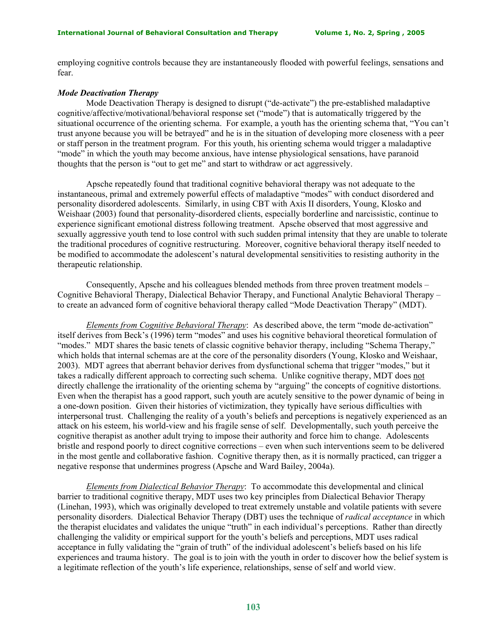employing cognitive controls because they are instantaneously flooded with powerful feelings, sensations and fear.

#### *Mode Deactivation Therapy*

Mode Deactivation Therapy is designed to disrupt ("de-activate") the pre-established maladaptive cognitive/affective/motivational/behavioral response set ("mode") that is automatically triggered by the situational occurrence of the orienting schema. For example, a youth has the orienting schema that, "You can't trust anyone because you will be betrayed" and he is in the situation of developing more closeness with a peer or staff person in the treatment program. For this youth, his orienting schema would trigger a maladaptive "mode" in which the youth may become anxious, have intense physiological sensations, have paranoid thoughts that the person is "out to get me" and start to withdraw or act aggressively.

 Apsche repeatedly found that traditional cognitive behavioral therapy was not adequate to the instantaneous, primal and extremely powerful effects of maladaptive "modes" with conduct disordered and personality disordered adolescents. Similarly, in using CBT with Axis II disorders, Young, Klosko and Weishaar (2003) found that personality-disordered clients, especially borderline and narcissistic, continue to experience significant emotional distress following treatment. Apsche observed that most aggressive and sexually aggressive youth tend to lose control with such sudden primal intensity that they are unable to tolerate the traditional procedures of cognitive restructuring. Moreover, cognitive behavioral therapy itself needed to be modified to accommodate the adolescent's natural developmental sensitivities to resisting authority in the therapeutic relationship.

Consequently, Apsche and his colleagues blended methods from three proven treatment models – Cognitive Behavioral Therapy, Dialectical Behavior Therapy, and Functional Analytic Behavioral Therapy – to create an advanced form of cognitive behavioral therapy called "Mode Deactivation Therapy" (MDT).

*Elements from Cognitive Behavioral Therapy*: As described above, the term "mode de-activation" itself derives from Beck's (1996) term "modes" and uses his cognitive behavioral theoretical formulation of "modes." MDT shares the basic tenets of classic cognitive behavior therapy, including "Schema Therapy," which holds that internal schemas are at the core of the personality disorders (Young, Klosko and Weishaar, 2003). MDT agrees that aberrant behavior derives from dysfunctional schema that trigger "modes," but it takes a radically different approach to correcting such schema. Unlike cognitive therapy, MDT does not directly challenge the irrationality of the orienting schema by "arguing" the concepts of cognitive distortions. Even when the therapist has a good rapport, such youth are acutely sensitive to the power dynamic of being in a one-down position. Given their histories of victimization, they typically have serious difficulties with interpersonal trust. Challenging the reality of a youth's beliefs and perceptions is negatively experienced as an attack on his esteem, his world-view and his fragile sense of self. Developmentally, such youth perceive the cognitive therapist as another adult trying to impose their authority and force him to change. Adolescents bristle and respond poorly to direct cognitive corrections – even when such interventions seem to be delivered in the most gentle and collaborative fashion. Cognitive therapy then, as it is normally practiced, can trigger a negative response that undermines progress (Apsche and Ward Bailey, 2004a).

*Elements from Dialectical Behavior Therapy*: To accommodate this developmental and clinical barrier to traditional cognitive therapy, MDT uses two key principles from Dialectical Behavior Therapy (Linehan, 1993), which was originally developed to treat extremely unstable and volatile patients with severe personality disorders. Dialectical Behavior Therapy (DBT) uses the technique of *radical acceptance* in which the therapist elucidates and validates the unique "truth" in each individual's perceptions. Rather than directly challenging the validity or empirical support for the youth's beliefs and perceptions, MDT uses radical acceptance in fully validating the "grain of truth" of the individual adolescent's beliefs based on his life experiences and trauma history. The goal is to join with the youth in order to discover how the belief system is a legitimate reflection of the youth's life experience, relationships, sense of self and world view.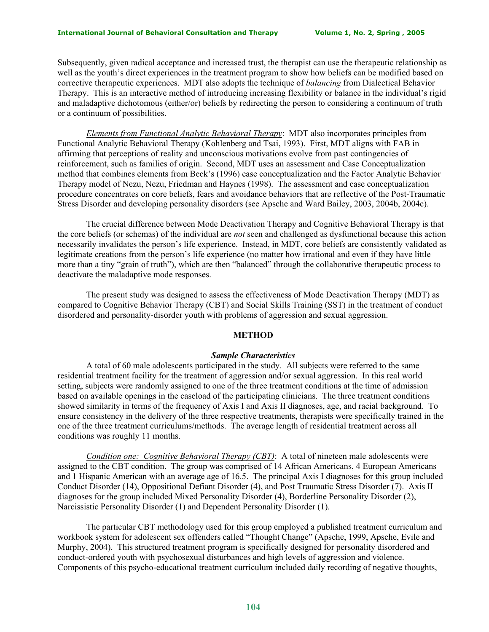#### **International Journal of Behavioral Consultation and Therapy Volume 1, No. 2, Spring , 2005**

Subsequently, given radical acceptance and increased trust, the therapist can use the therapeutic relationship as well as the youth's direct experiences in the treatment program to show how beliefs can be modified based on corrective therapeutic experiences. MDT also adopts the technique of *balancing* from Dialectical Behavior Therapy. This is an interactive method of introducing increasing flexibility or balance in the individual's rigid and maladaptive dichotomous (either/or) beliefs by redirecting the person to considering a continuum of truth or a continuum of possibilities.

*Elements from Functional Analytic Behavioral Therapy*: MDT also incorporates principles from Functional Analytic Behavioral Therapy (Kohlenberg and Tsai, 1993). First, MDT aligns with FAB in affirming that perceptions of reality and unconscious motivations evolve from past contingencies of reinforcement, such as families of origin. Second, MDT uses an assessment and Case Conceptualization method that combines elements from Beck's (1996) case conceptualization and the Factor Analytic Behavior Therapy model of Nezu, Nezu, Friedman and Haynes (1998). The assessment and case conceptualization procedure concentrates on core beliefs, fears and avoidance behaviors that are reflective of the Post-Traumatic Stress Disorder and developing personality disorders (see Apsche and Ward Bailey, 2003, 2004b, 2004c).

The crucial difference between Mode Deactivation Therapy and Cognitive Behavioral Therapy is that the core beliefs (or schemas) of the individual are *not* seen and challenged as dysfunctional because this action necessarily invalidates the person's life experience. Instead, in MDT, core beliefs are consistently validated as legitimate creations from the person's life experience (no matter how irrational and even if they have little more than a tiny "grain of truth"), which are then "balanced" through the collaborative therapeutic process to deactivate the maladaptive mode responses.

 The present study was designed to assess the effectiveness of Mode Deactivation Therapy (MDT) as compared to Cognitive Behavior Therapy (CBT) and Social Skills Training (SST) in the treatment of conduct disordered and personality-disorder youth with problems of aggression and sexual aggression.

### **METHOD**

#### *Sample Characteristics*

A total of 60 male adolescents participated in the study. All subjects were referred to the same residential treatment facility for the treatment of aggression and/or sexual aggression. In this real world setting, subjects were randomly assigned to one of the three treatment conditions at the time of admission based on available openings in the caseload of the participating clinicians. The three treatment conditions showed similarity in terms of the frequency of Axis I and Axis II diagnoses, age, and racial background. To ensure consistency in the delivery of the three respective treatments, therapists were specifically trained in the one of the three treatment curriculums/methods. The average length of residential treatment across all conditions was roughly 11 months.

*Condition one: Cognitive Behavioral Therapy (CBT)*: A total of nineteen male adolescents were assigned to the CBT condition. The group was comprised of 14 African Americans, 4 European Americans and 1 Hispanic American with an average age of 16.5. The principal Axis I diagnoses for this group included Conduct Disorder (14), Oppositional Defiant Disorder (4), and Post Traumatic Stress Disorder (7). Axis II diagnoses for the group included Mixed Personality Disorder (4), Borderline Personality Disorder (2), Narcissistic Personality Disorder (1) and Dependent Personality Disorder (1).

The particular CBT methodology used for this group employed a published treatment curriculum and workbook system for adolescent sex offenders called "Thought Change" (Apsche, 1999, Apsche, Evile and Murphy, 2004). This structured treatment program is specifically designed for personality disordered and conduct-ordered youth with psychosexual disturbances and high levels of aggression and violence. Components of this psycho-educational treatment curriculum included daily recording of negative thoughts,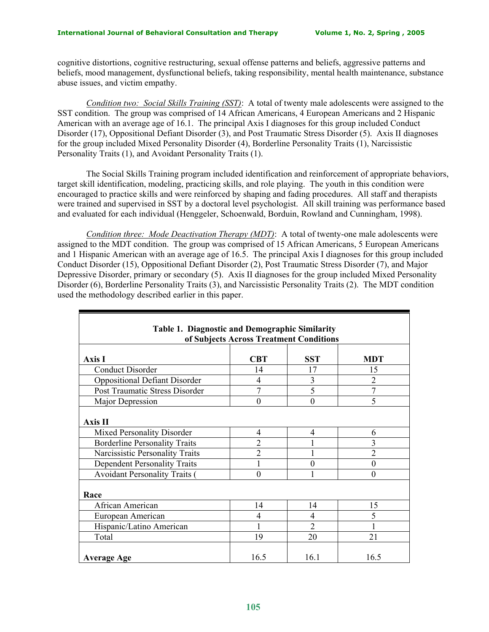cognitive distortions, cognitive restructuring, sexual offense patterns and beliefs, aggressive patterns and beliefs, mood management, dysfunctional beliefs, taking responsibility, mental health maintenance, substance abuse issues, and victim empathy.

*Condition two: Social Skills Training (SST)*: A total of twenty male adolescents were assigned to the SST condition. The group was comprised of 14 African Americans, 4 European Americans and 2 Hispanic American with an average age of 16.1. The principal Axis I diagnoses for this group included Conduct Disorder (17), Oppositional Defiant Disorder (3), and Post Traumatic Stress Disorder (5). Axis II diagnoses for the group included Mixed Personality Disorder (4), Borderline Personality Traits (1), Narcissistic Personality Traits (1), and Avoidant Personality Traits (1).

The Social Skills Training program included identification and reinforcement of appropriate behaviors, target skill identification, modeling, practicing skills, and role playing. The youth in this condition were encouraged to practice skills and were reinforced by shaping and fading procedures. All staff and therapists were trained and supervised in SST by a doctoral level psychologist. All skill training was performance based and evaluated for each individual (Henggeler, Schoenwald, Borduin, Rowland and Cunningham, 1998).

*Condition three: Mode Deactivation Therapy (MDT)*: A total of twenty-one male adolescents were assigned to the MDT condition. The group was comprised of 15 African Americans, 5 European Americans and 1 Hispanic American with an average age of 16.5. The principal Axis I diagnoses for this group included Conduct Disorder (15), Oppositional Defiant Disorder (2), Post Traumatic Stress Disorder (7), and Major Depressive Disorder, primary or secondary (5). Axis II diagnoses for the group included Mixed Personality Disorder (6), Borderline Personality Traits (3), and Narcissistic Personality Traits (2). The MDT condition used the methodology described earlier in this paper.

| Table 1. Diagnostic and Demographic Similarity |                |                |                |  |  |  |  |  |
|------------------------------------------------|----------------|----------------|----------------|--|--|--|--|--|
| of Subjects Across Treatment Conditions        |                |                |                |  |  |  |  |  |
| Axis I                                         | <b>CBT</b>     | <b>SST</b>     | <b>MDT</b>     |  |  |  |  |  |
| <b>Conduct Disorder</b>                        | 14             | 17             | 15             |  |  |  |  |  |
| <b>Oppositional Defiant Disorder</b>           | 4              | 3              | $\overline{2}$ |  |  |  |  |  |
| Post Traumatic Stress Disorder                 | 7              | 5              | $\overline{7}$ |  |  |  |  |  |
| Major Depression                               | $\mathbf{0}$   | $\mathbf{0}$   | 5              |  |  |  |  |  |
| Axis II                                        |                |                |                |  |  |  |  |  |
| Mixed Personality Disorder                     | 4              | $\overline{4}$ | 6              |  |  |  |  |  |
| <b>Borderline Personality Traits</b>           | $\overline{2}$ |                | $\overline{3}$ |  |  |  |  |  |
| Narcissistic Personality Traits                | $\overline{2}$ |                | $\overline{2}$ |  |  |  |  |  |
| <b>Dependent Personality Traits</b>            | 1              | $\overline{0}$ | $\overline{0}$ |  |  |  |  |  |
| <b>Avoidant Personality Traits (</b>           | $\overline{0}$ | 1              | $\theta$       |  |  |  |  |  |
| Race                                           |                |                |                |  |  |  |  |  |
| African American                               | 14             | 14             | 15             |  |  |  |  |  |
| European American                              | 4              | 4              | 5              |  |  |  |  |  |
| Hispanic/Latino American                       |                | $\overline{2}$ |                |  |  |  |  |  |
| Total                                          | 19             | 20             | 21             |  |  |  |  |  |
| <b>Average Age</b>                             | 16.5           | 16.1           | 16.5           |  |  |  |  |  |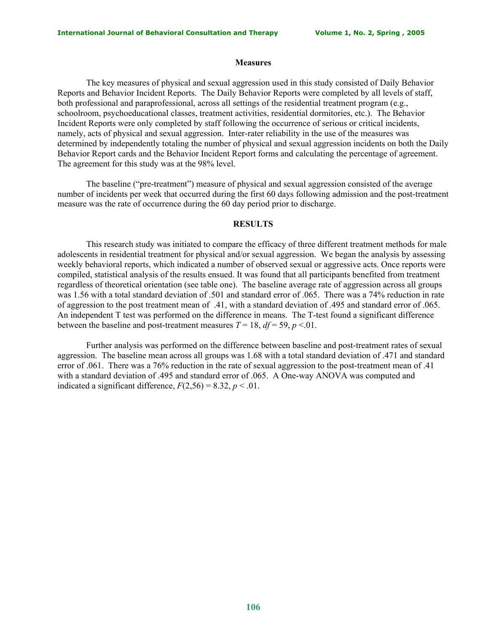#### **Measures**

The key measures of physical and sexual aggression used in this study consisted of Daily Behavior Reports and Behavior Incident Reports. The Daily Behavior Reports were completed by all levels of staff, both professional and paraprofessional, across all settings of the residential treatment program (e.g., schoolroom, psychoeducational classes, treatment activities, residential dormitories, etc.). The Behavior Incident Reports were only completed by staff following the occurrence of serious or critical incidents, namely, acts of physical and sexual aggression. Inter-rater reliability in the use of the measures was determined by independently totaling the number of physical and sexual aggression incidents on both the Daily Behavior Report cards and the Behavior Incident Report forms and calculating the percentage of agreement. The agreement for this study was at the 98% level.

The baseline ("pre-treatment") measure of physical and sexual aggression consisted of the average number of incidents per week that occurred during the first 60 days following admission and the post-treatment measure was the rate of occurrence during the 60 day period prior to discharge.

## **RESULTS**

This research study was initiated to compare the efficacy of three different treatment methods for male adolescents in residential treatment for physical and/or sexual aggression. We began the analysis by assessing weekly behavioral reports, which indicated a number of observed sexual or aggressive acts. Once reports were compiled, statistical analysis of the results ensued. It was found that all participants benefited from treatment regardless of theoretical orientation (see table one). The baseline average rate of aggression across all groups was 1.56 with a total standard deviation of .501 and standard error of .065. There was a 74% reduction in rate of aggression to the post treatment mean of .41, with a standard deviation of .495 and standard error of .065. An independent T test was performed on the difference in means. The T-test found a significant difference between the baseline and post-treatment measures  $T = 18$ ,  $df = 59$ ,  $p < 01$ .

Further analysis was performed on the difference between baseline and post-treatment rates of sexual aggression. The baseline mean across all groups was 1.68 with a total standard deviation of .471 and standard error of .061. There was a 76% reduction in the rate of sexual aggression to the post-treatment mean of .41 with a standard deviation of .495 and standard error of .065. A One-way ANOVA was computed and indicated a significant difference,  $F(2,56) = 8.32$ ,  $p < .01$ .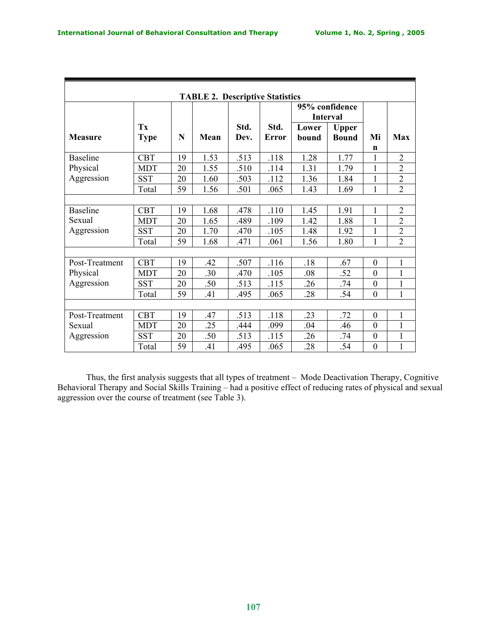| <b>TABLE 2. Descriptive Statistics</b> |                   |    |      |              |                      |                                   |                              |                  |                |
|----------------------------------------|-------------------|----|------|--------------|----------------------|-----------------------------------|------------------------------|------------------|----------------|
|                                        |                   |    |      |              |                      | 95% confidence<br><b>Interval</b> |                              |                  |                |
| <b>Measure</b>                         | Tx<br><b>Type</b> | N  | Mean | Std.<br>Dev. | Std.<br><b>Error</b> | Lower<br>bound                    | <b>Upper</b><br><b>Bound</b> | Mi<br>n          | Max            |
| <b>Baseline</b>                        | <b>CBT</b>        | 19 | 1.53 | .513         | .118                 | 1.28                              | 1.77                         | 1                | $\overline{2}$ |
| Physical                               | <b>MDT</b>        | 20 | 1.55 | .510         | .114                 | 1.31                              | 1.79                         | 1                | $\overline{2}$ |
| Aggression                             | <b>SST</b>        | 20 | 1.60 | .503         | .112                 | 1.36                              | 1.84                         | 1                | $\overline{2}$ |
|                                        | Total             | 59 | 1.56 | .501         | .065                 | 1.43                              | 1.69                         | 1                | $\overline{2}$ |
|                                        |                   |    |      |              |                      |                                   |                              |                  |                |
| <b>Baseline</b>                        | <b>CBT</b>        | 19 | 1.68 | .478         | .110                 | 1.45                              | 1.91                         | 1                | $\overline{2}$ |
| Sexual                                 | <b>MDT</b>        | 20 | 1.65 | .489         | .109                 | 1.42                              | 1.88                         | 1                | $\overline{2}$ |
| Aggression                             | <b>SST</b>        | 20 | 1.70 | .470         | .105                 | 1.48                              | 1.92                         | $\mathbf{1}$     | $\overline{2}$ |
|                                        | Total             | 59 | 1.68 | .471         | .061                 | 1.56                              | 1.80                         | 1                | $\overline{2}$ |
|                                        |                   |    |      |              |                      |                                   |                              |                  |                |
| Post-Treatment                         | <b>CBT</b>        | 19 | .42  | .507         | .116                 | .18                               | .67                          | $\boldsymbol{0}$ | 1              |
| Physical                               | <b>MDT</b>        | 20 | .30  | .470         | .105                 | .08                               | .52                          | $\mathbf{0}$     | 1              |
| Aggression                             | <b>SST</b>        | 20 | .50  | .513         | .115                 | .26                               | .74                          | $\boldsymbol{0}$ | $\mathbf{1}$   |
|                                        | Total             | 59 | .41  | .495         | .065                 | .28                               | .54                          | $\boldsymbol{0}$ | $\mathbf{1}$   |
|                                        |                   |    |      |              |                      |                                   |                              |                  |                |
| Post-Treatment                         | <b>CBT</b>        | 19 | .47  | .513         | .118                 | .23                               | .72                          | $\boldsymbol{0}$ | 1              |
| Sexual                                 | <b>MDT</b>        | 20 | .25  | .444         | .099                 | .04                               | .46                          | $\theta$         | 1              |
| Aggression                             | <b>SST</b>        | 20 | .50  | .513         | .115                 | .26                               | .74                          | $\boldsymbol{0}$ | $\mathbf{1}$   |
|                                        | Total             | 59 | .41  | .495         | .065                 | .28                               | .54                          | $\boldsymbol{0}$ | $\mathbf{1}$   |

Thus, the first analysis suggests that all types of treatment – Mode Deactivation Therapy, Cognitive Behavioral Therapy and Social Skills Training – had a positive effect of reducing rates of physical and sexual aggression over the course of treatment (see Table 3).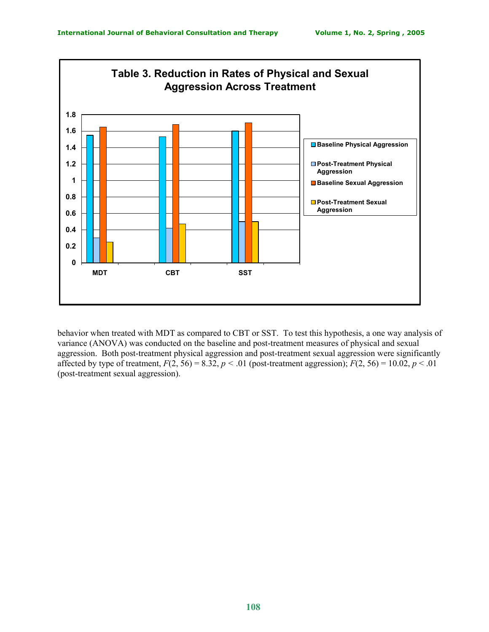

behavior when treated with MDT as compared to CBT or SST. To test this hypothesis, a one way analysis of variance (ANOVA) was conducted on the baseline and post-treatment measures of physical and sexual aggression. Both post-treatment physical aggression and post-treatment sexual aggression were significantly affected by type of treatment,  $F(2, 56) = 8.32$ ,  $p < .01$  (post-treatment aggression);  $F(2, 56) = 10.02$ ,  $p < .01$ (post-treatment sexual aggression).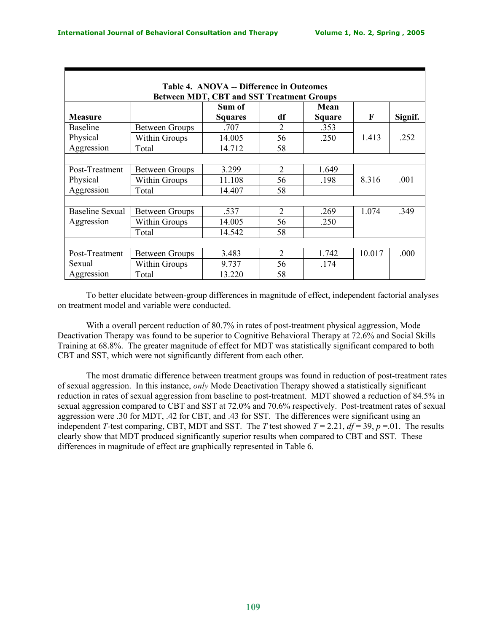| Table 4. ANOVA -- Difference in Outcomes                           |                       |                |                |        |        |         |  |  |
|--------------------------------------------------------------------|-----------------------|----------------|----------------|--------|--------|---------|--|--|
| <b>Between MDT, CBT and SST Treatment Groups</b><br>Sum of<br>Mean |                       |                |                |        |        |         |  |  |
| <b>Measure</b>                                                     |                       | <b>Squares</b> | df             | Square | F      | Signif. |  |  |
| <b>Baseline</b>                                                    | <b>Between Groups</b> | .707           | $\overline{2}$ | .353   |        |         |  |  |
| Physical                                                           | <b>Within Groups</b>  | 14.005         | 56             | .250   | 1.413  | .252    |  |  |
| Aggression                                                         | Total                 | 14.712         | 58             |        |        |         |  |  |
|                                                                    |                       |                |                |        |        |         |  |  |
| Post-Treatment                                                     | <b>Between Groups</b> | 3.299          | 2              | 1.649  |        |         |  |  |
| Physical                                                           | <b>Within Groups</b>  | 11.108         | 56             | .198   | 8.316  | .001    |  |  |
| Aggression                                                         | Total                 | 14.407         | 58             |        |        |         |  |  |
|                                                                    |                       |                |                |        |        |         |  |  |
| <b>Baseline Sexual</b>                                             | <b>Between Groups</b> | .537           | $\mathfrak{D}$ | .269   | 1.074  | .349    |  |  |
| Aggression                                                         | <b>Within Groups</b>  | 14.005         | 56             | .250   |        |         |  |  |
|                                                                    | Total                 | 14.542         | 58             |        |        |         |  |  |
|                                                                    |                       |                |                |        |        |         |  |  |
| Post-Treatment                                                     | <b>Between Groups</b> | 3.483          | $\mathcal{L}$  | 1.742  | 10.017 | .000    |  |  |
| Sexual                                                             | <b>Within Groups</b>  | 9.737          | 56             | .174   |        |         |  |  |
| Aggression                                                         | Total                 | 13.220         | 58             |        |        |         |  |  |

To better elucidate between-group differences in magnitude of effect, independent factorial analyses on treatment model and variable were conducted.

With a overall percent reduction of 80.7% in rates of post-treatment physical aggression, Mode Deactivation Therapy was found to be superior to Cognitive Behavioral Therapy at 72.6% and Social Skills Training at 68.8%. The greater magnitude of effect for MDT was statistically significant compared to both CBT and SST, which were not significantly different from each other.

The most dramatic difference between treatment groups was found in reduction of post-treatment rates of sexual aggression. In this instance, *only* Mode Deactivation Therapy showed a statistically significant reduction in rates of sexual aggression from baseline to post-treatment. MDT showed a reduction of 84.5% in sexual aggression compared to CBT and SST at 72.0% and 70.6% respectively. Post-treatment rates of sexual aggression were .30 for MDT, .42 for CBT, and .43 for SST. The differences were significant using an independent *T*-test comparing, CBT, MDT and SST. The *T* test showed  $T = 2.21$ ,  $df = 39$ ,  $p = .01$ . The results clearly show that MDT produced significantly superior results when compared to CBT and SST. These differences in magnitude of effect are graphically represented in Table 6.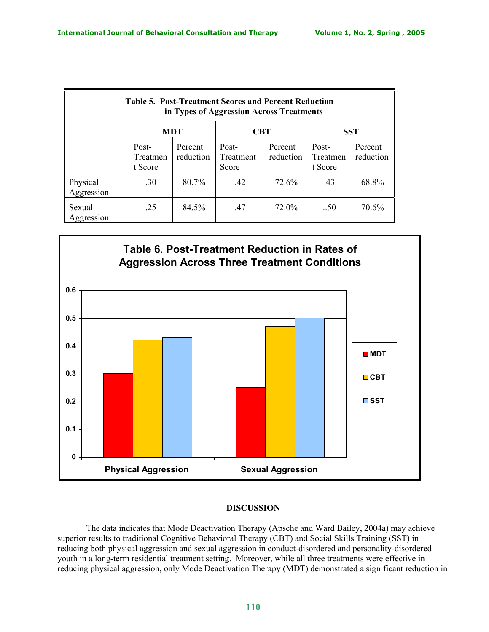| <b>Table 5. Post-Treatment Scores and Percent Reduction</b><br>in Types of Aggression Across Treatments |                              |                      |                             |                      |                              |                      |  |
|---------------------------------------------------------------------------------------------------------|------------------------------|----------------------|-----------------------------|----------------------|------------------------------|----------------------|--|
|                                                                                                         | <b>MDT</b>                   |                      | <b>CBT</b>                  |                      | <b>SST</b>                   |                      |  |
|                                                                                                         | Post-<br>Treatmen<br>t Score | Percent<br>reduction | Post-<br>Treatment<br>Score | Percent<br>reduction | Post-<br>Treatmen<br>t Score | Percent<br>reduction |  |
| Physical<br>Aggression                                                                                  | .30                          | 80.7%                | .42                         | 72.6%                | .43                          | 68.8%                |  |
| Sexual<br>Aggression                                                                                    | .25                          | 84.5%                | .47                         | 72.0%                | .50                          | 70.6%                |  |



# **DISCUSSION**

The data indicates that Mode Deactivation Therapy (Apsche and Ward Bailey, 2004a) may achieve superior results to traditional Cognitive Behavioral Therapy (CBT) and Social Skills Training (SST) in reducing both physical aggression and sexual aggression in conduct-disordered and personality-disordered youth in a long-term residential treatment setting. Moreover, while all three treatments were effective in reducing physical aggression, only Mode Deactivation Therapy (MDT) demonstrated a significant reduction in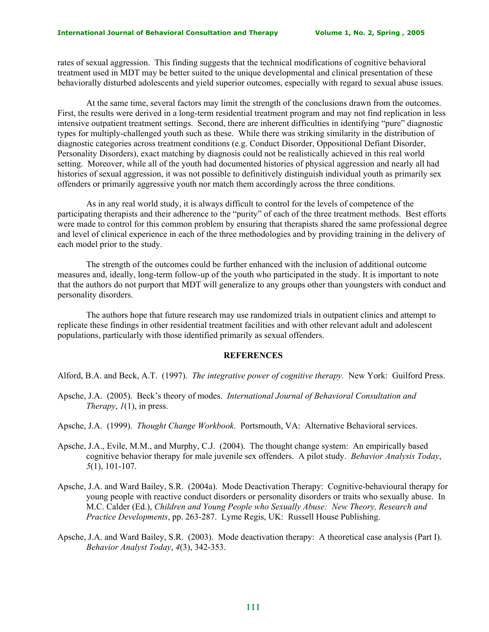rates of sexual aggression. This finding suggests that the technical modifications of cognitive behavioral treatment used in MDT may be better suited to the unique developmental and clinical presentation of these behaviorally disturbed adolescents and yield superior outcomes, especially with regard to sexual abuse issues.

At the same time, several factors may limit the strength of the conclusions drawn from the outcomes. First, the results were derived in a long-term residential treatment program and may not find replication in less intensive outpatient treatment settings. Second, there are inherent difficulties in identifying "pure" diagnostic types for multiply-challenged youth such as these. While there was striking similarity in the distribution of diagnostic categories across treatment conditions (e.g. Conduct Disorder, Oppositional Defiant Disorder, Personality Disorders), exact matching by diagnosis could not be realistically achieved in this real world setting. Moreover, while all of the youth had documented histories of physical aggression and nearly all had histories of sexual aggression, it was not possible to definitively distinguish individual youth as primarily sex offenders or primarily aggressive youth nor match them accordingly across the three conditions.

As in any real world study, it is always difficult to control for the levels of competence of the participating therapists and their adherence to the "purity" of each of the three treatment methods. Best efforts were made to control for this common problem by ensuring that therapists shared the same professional degree and level of clinical experience in each of the three methodologies and by providing training in the delivery of each model prior to the study.

The strength of the outcomes could be further enhanced with the inclusion of additional outcome measures and, ideally, long-term follow-up of the youth who participated in the study. It is important to note that the authors do not purport that MDT will generalize to any groups other than youngsters with conduct and personality disorders.

The authors hope that future research may use randomized trials in outpatient clinics and attempt to replicate these findings in other residential treatment facilities and with other relevant adult and adolescent populations, particularly with those identified primarily as sexual offenders.

### **REFERENCES**

Alford, B.A. and Beck, A.T. (1997). *The integrative power of cognitive therapy.* New York: Guilford Press.

- Apsche, J.A. (2005).Beck's theory of modes. *International Journal of Behavioral Consultation and Therapy*, *1*(1), in press.
- Apsche, J.A. (1999). *Thought Change Workbook*. Portsmouth, VA: Alternative Behavioral services.
- Apsche, J.A., Evile, M.M., and Murphy, C.J. (2004). The thought change system: An empirically based cognitive behavior therapy for male juvenile sex offenders. A pilot study. *Behavior Analysis Today*, *5*(1), 101-107.
- Apsche, J.A. and Ward Bailey, S.R. (2004a). Mode Deactivation Therapy: Cognitive-behavioural therapy for young people with reactive conduct disorders or personality disorders or traits who sexually abuse. In M.C. Calder (Ed.), *Children and Young People who Sexually Abuse: New Theory, Research and Practice Developments*, pp. 263-287. Lyme Regis, UK: Russell House Publishing.
- Apsche, J.A. and Ward Bailey, S.R. (2003). Mode deactivation therapy: A theoretical case analysis (Part I). *Behavior Analyst Today*, *4*(3), 342-353.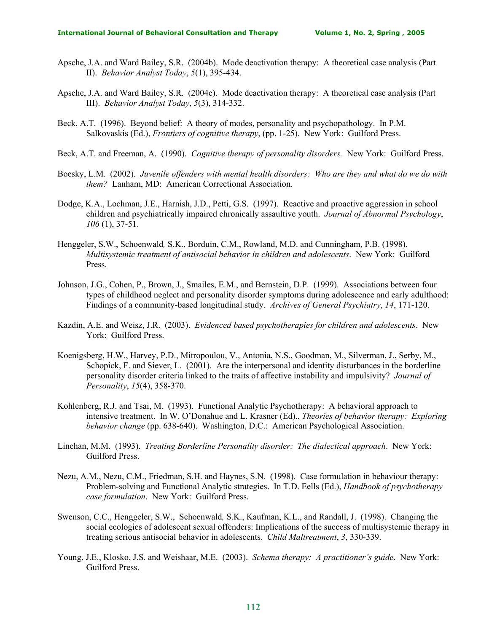- Apsche, J.A. and Ward Bailey, S.R. (2004b). Mode deactivation therapy: A theoretical case analysis (Part II). *Behavior Analyst Today*, *5*(1), 395-434.
- Apsche, J.A. and Ward Bailey, S.R. (2004c). Mode deactivation therapy: A theoretical case analysis (Part III). *Behavior Analyst Today*, *5*(3), 314-332.
- Beck, A.T. (1996). Beyond belief: A theory of modes, personality and psychopathology. In P.M. Salkovaskis (Ed.), *Frontiers of cognitive therapy*, (pp. 1-25). New York: Guilford Press.
- Beck, A.T. and Freeman, A. (1990). *Cognitive therapy of personality disorders.* New York: Guilford Press.
- Boesky, L.M. (2002). *Juvenile offenders with mental health disorders: Who are they and what do we do with them?* Lanham, MD: American Correctional Association.
- Dodge, K.A., Lochman, J.E., Harnish, J.D., Petti, G.S. (1997). Reactive and proactive aggression in school children and psychiatrically impaired chronically assaultive youth. *Journal of Abnormal Psychology*, *106* (1), 37-51.
- Henggeler, S.W., Schoenwald*,* S.K., Borduin, C.M., Rowland, M.D. and Cunningham, P.B. (1998). *Multisystemic treatment of antisocial behavior in children and adolescents*. New York: Guilford Press.
- Johnson, J.G., Cohen, P., Brown, J., Smailes, E.M., and Bernstein, D.P. (1999). Associations between four types of childhood neglect and personality disorder symptoms during adolescence and early adulthood: Findings of a community-based longitudinal study. *Archives of General Psychiatry*, *14*, 171-120.
- Kazdin, A.E. and Weisz, J.R. (2003). *Evidenced based psychotherapies for children and adolescents*. New York: Guilford Press.
- Koenigsberg, H.W., Harvey, P.D., Mitropoulou, V., Antonia, N.S., Goodman, M., Silverman, J., Serby, M., Schopick, F. and Siever, L. (2001). Are the interpersonal and identity disturbances in the borderline personality disorder criteria linked to the traits of affective instability and impulsivity? *Journal of Personality*, *15*(4), 358-370.
- Kohlenberg, R.J. and Tsai, M. (1993). Functional Analytic Psychotherapy: A behavioral approach to intensive treatment. In W. O'Donahue and L. Krasner (Ed)., *Theories of behavior therapy: Exploring behavior change* (pp. 638-640). Washington, D.C.: American Psychological Association.
- Linehan, M.M. (1993). *Treating Borderline Personality disorder: The dialectical approach*. New York: Guilford Press.
- Nezu, A.M., Nezu, C.M., Friedman, S.H. and Haynes, S.N. (1998). Case formulation in behaviour therapy: Problem-solving and Functional Analytic strategies. In T.D. Eells (Ed.), *Handbook of psychotherapy case formulation*. New York: Guilford Press.
- Swenson, C.C., Henggeler, S.W., Schoenwald*,* S.K., Kaufman, K.L., and Randall, J. (1998). Changing the social ecologies of adolescent sexual offenders: Implications of the success of multisystemic therapy in treating serious antisocial behavior in adolescents. *Child Maltreatment*, *3*, 330-339.
- Young, J.E., Klosko, J.S. and Weishaar, M.E. (2003). *Schema therapy: A practitioner's guide*. New York: Guilford Press.